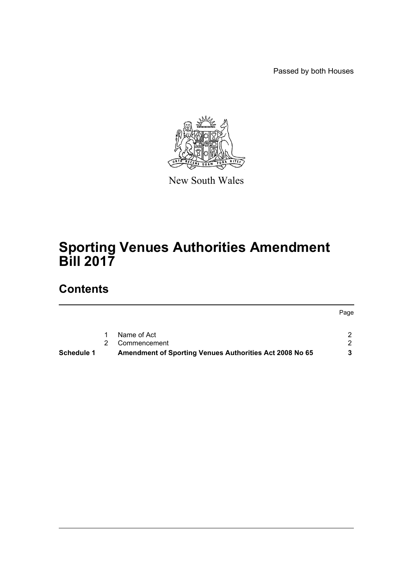Passed by both Houses

Page



New South Wales

# **Sporting Venues Authorities Amendment Bill 2017**

# **Contents**

|            | Name of Act                                                    |  |
|------------|----------------------------------------------------------------|--|
|            | 2 Commencement                                                 |  |
| Schedule 1 | <b>Amendment of Sporting Venues Authorities Act 2008 No 65</b> |  |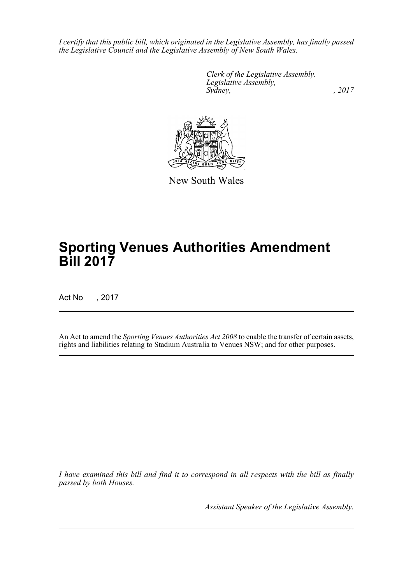*I certify that this public bill, which originated in the Legislative Assembly, has finally passed the Legislative Council and the Legislative Assembly of New South Wales.*

> *Clerk of the Legislative Assembly. Legislative Assembly, Sydney,* , 2017



New South Wales

# **Sporting Venues Authorities Amendment Bill 2017**

Act No , 2017

An Act to amend the *Sporting Venues Authorities Act 2008* to enable the transfer of certain assets, rights and liabilities relating to Stadium Australia to Venues NSW; and for other purposes.

*I have examined this bill and find it to correspond in all respects with the bill as finally passed by both Houses.*

*Assistant Speaker of the Legislative Assembly.*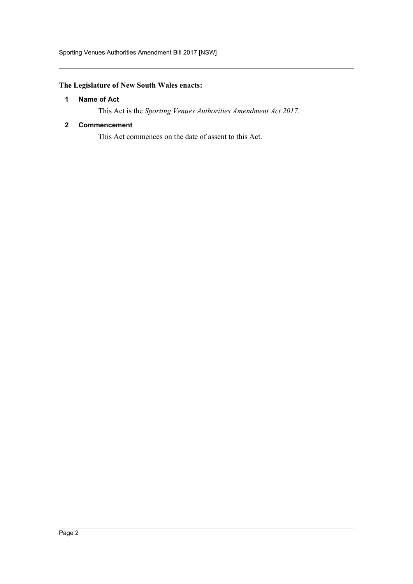# <span id="page-2-0"></span>**The Legislature of New South Wales enacts:**

## **1 Name of Act**

This Act is the *Sporting Venues Authorities Amendment Act 2017*.

### <span id="page-2-1"></span>**2 Commencement**

This Act commences on the date of assent to this Act.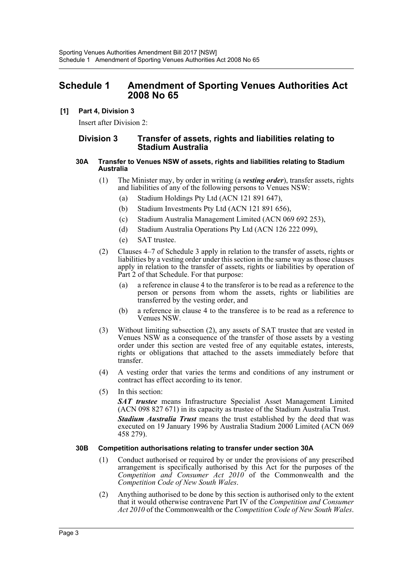# <span id="page-3-0"></span>**Schedule 1 Amendment of Sporting Venues Authorities Act 2008 No 65**

## **[1] Part 4, Division 3**

Insert after Division 2:

## **Division 3 Transfer of assets, rights and liabilities relating to Stadium Australia**

#### **30A Transfer to Venues NSW of assets, rights and liabilities relating to Stadium Australia**

- (1) The Minister may, by order in writing (a *vesting order*), transfer assets, rights and liabilities of any of the following persons to Venues NSW:
	- (a) Stadium Holdings Pty Ltd (ACN 121 891 647),
	- (b) Stadium Investments Pty Ltd (ACN 121 891 656),
	- (c) Stadium Australia Management Limited (ACN 069 692 253),
	- (d) Stadium Australia Operations Pty Ltd (ACN 126 222 099),
	- (e) SAT trustee.
- (2) Clauses 4–7 of Schedule 3 apply in relation to the transfer of assets, rights or liabilities by a vesting order under this section in the same way as those clauses apply in relation to the transfer of assets, rights or liabilities by operation of Part 2 of that Schedule. For that purpose:
	- (a) a reference in clause 4 to the transferor is to be read as a reference to the person or persons from whom the assets, rights or liabilities are transferred by the vesting order, and
	- (b) a reference in clause 4 to the transferee is to be read as a reference to Venues NSW.
- (3) Without limiting subsection (2), any assets of SAT trustee that are vested in Venues NSW as a consequence of the transfer of those assets by a vesting order under this section are vested free of any equitable estates, interests, rights or obligations that attached to the assets immediately before that transfer.
- (4) A vesting order that varies the terms and conditions of any instrument or contract has effect according to its tenor.
- (5) In this section:

*SAT trustee* means Infrastructure Specialist Asset Management Limited (ACN 098 827 671) in its capacity as trustee of the Stadium Australia Trust.

*Stadium Australia Trust* means the trust established by the deed that was executed on 19 January 1996 by Australia Stadium 2000 Limited (ACN 069 458 279).

### **30B Competition authorisations relating to transfer under section 30A**

- (1) Conduct authorised or required by or under the provisions of any prescribed arrangement is specifically authorised by this Act for the purposes of the *Competition and Consumer Act 2010* of the Commonwealth and the *Competition Code of New South Wales*.
- (2) Anything authorised to be done by this section is authorised only to the extent that it would otherwise contravene Part IV of the *Competition and Consumer Act 2010* of the Commonwealth or the *Competition Code of New South Wales*.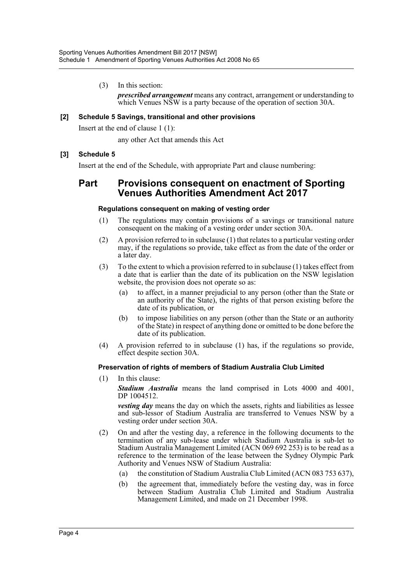(3) In this section:

*prescribed arrangement* means any contract, arrangement or understanding to which Venues NSW is a party because of the operation of section 30A.

### **[2] Schedule 5 Savings, transitional and other provisions**

Insert at the end of clause 1 (1):

any other Act that amends this Act

### **[3] Schedule 5**

Insert at the end of the Schedule, with appropriate Part and clause numbering:

# **Part Provisions consequent on enactment of Sporting Venues Authorities Amendment Act 2017**

### **Regulations consequent on making of vesting order**

- (1) The regulations may contain provisions of a savings or transitional nature consequent on the making of a vesting order under section 30A.
- (2) A provision referred to in subclause (1) that relates to a particular vesting order may, if the regulations so provide, take effect as from the date of the order or a later day.
- (3) To the extent to which a provision referred to in subclause (1) takes effect from a date that is earlier than the date of its publication on the NSW legislation website, the provision does not operate so as:
	- (a) to affect, in a manner prejudicial to any person (other than the State or an authority of the State), the rights of that person existing before the date of its publication, or
	- (b) to impose liabilities on any person (other than the State or an authority of the State) in respect of anything done or omitted to be done before the date of its publication.
- (4) A provision referred to in subclause (1) has, if the regulations so provide, effect despite section 30A.

### **Preservation of rights of members of Stadium Australia Club Limited**

(1) In this clause:

*Stadium Australia* means the land comprised in Lots 4000 and 4001, DP 1004512.

*vesting day* means the day on which the assets, rights and liabilities as lessee and sub-lessor of Stadium Australia are transferred to Venues NSW by a vesting order under section 30A.

- (2) On and after the vesting day, a reference in the following documents to the termination of any sub-lease under which Stadium Australia is sub-let to Stadium Australia Management Limited (ACN 069 692 253) is to be read as a reference to the termination of the lease between the Sydney Olympic Park Authority and Venues NSW of Stadium Australia:
	- (a) the constitution of Stadium Australia Club Limited (ACN 083 753 637),
	- (b) the agreement that, immediately before the vesting day, was in force between Stadium Australia Club Limited and Stadium Australia Management Limited, and made on 21 December 1998.